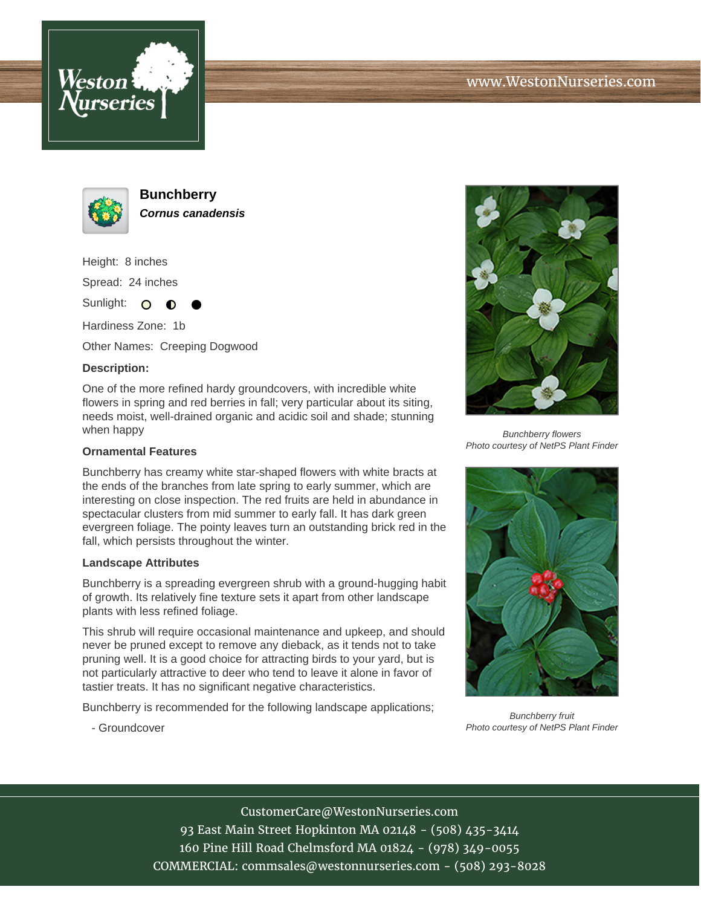



**Bunchberry Cornus canadensis**

Height: 8 inches Spread: 24 inches

Sunlight: O  $\bullet$ 

Hardiness Zone: 1b

Other Names: Creeping Dogwood

## **Description:**

One of the more refined hardy groundcovers, with incredible white flowers in spring and red berries in fall; very particular about its siting, needs moist, well-drained organic and acidic soil and shade; stunning when happy

## **Ornamental Features**

Bunchberry has creamy white star-shaped flowers with white bracts at the ends of the branches from late spring to early summer, which are interesting on close inspection. The red fruits are held in abundance in spectacular clusters from mid summer to early fall. It has dark green evergreen foliage. The pointy leaves turn an outstanding brick red in the fall, which persists throughout the winter.

## **Landscape Attributes**

- Groundcover

Bunchberry is a spreading evergreen shrub with a ground-hugging habit of growth. Its relatively fine texture sets it apart from other landscape plants with less refined foliage.

This shrub will require occasional maintenance and upkeep, and should never be pruned except to remove any dieback, as it tends not to take pruning well. It is a good choice for attracting birds to your yard, but is not particularly attractive to deer who tend to leave it alone in favor of tastier treats. It has no significant negative characteristics.

Bunchberry is recommended for the following landscape applications;



Bunchberry flowers Photo courtesy of NetPS Plant Finder



Bunchberry fruit Photo courtesy of NetPS Plant Finder

CustomerCare@WestonNurseries.com 93 East Main Street Hopkinton MA 02148 - (508) 435-3414 160 Pine Hill Road Chelmsford MA 01824 - (978) 349-0055 COMMERCIAL: commsales@westonnurseries.com - (508) 293-8028